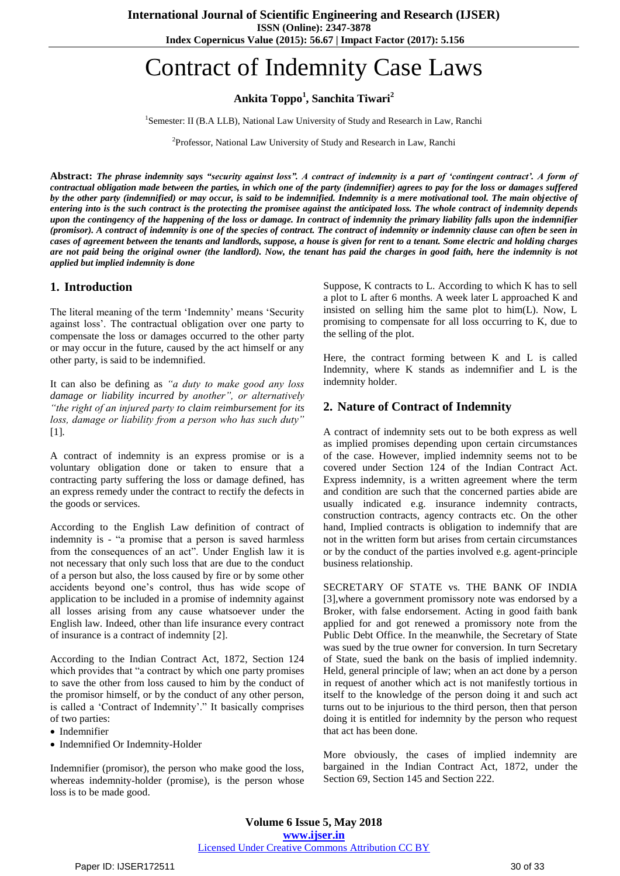**ISSN (Online): 2347-3878**

**Index Copernicus Value (2015): 56.67 | Impact Factor (2017): 5.156**

# Contract of Indemnity Case Laws

**Ankita Toppo<sup>1</sup> , Sanchita Tiwari<sup>2</sup>**

<sup>1</sup>Semester: II (B.A LLB), National Law University of Study and Research in Law, Ranchi

<sup>2</sup>Professor, National Law University of Study and Research in Law, Ranchi

**Abstract:** *The phrase indemnity says "security against loss". A contract of indemnity is a part of "contingent contract". A form of contractual obligation made between the parties, in which one of the party (indemnifier) agrees to pay for the loss or damages suffered by the other party (indemnified) or may occur, is said to be indemnified. Indemnity is a mere motivational tool. The main objective of entering into is the such contract is the protecting the promisee against the anticipated loss. The whole contract of indemnity depends upon the contingency of the happening of the loss or damage. In contract of indemnity the primary liability falls upon the indemnifier (promisor). A contract of indemnity is one of the species of contract. The contract of indemnity or indemnity clause can often be seen in cases of agreement between the tenants and landlords, suppose, a house is given for rent to a tenant. Some electric and holding charges are not paid being the original owner (the landlord). Now, the tenant has paid the charges in good faith, here the indemnity is not applied but implied indemnity is done*

## **1. Introduction**

The literal meaning of the term 'Indemnity' means 'Security against loss'. The contractual obligation over one party to compensate the loss or damages occurred to the other party or may occur in the future, caused by the act himself or any other party, is said to be indemnified.

It can also be defining as *"a duty to make good any loss damage or liability incurred by another", or alternatively "the right of an injured party to claim reimbursement for its loss, damage or liability from a person who has such duty"* [1]*.*

A contract of indemnity is an express promise or is a voluntary obligation done or taken to ensure that a contracting party suffering the loss or damage defined, has an express remedy under the contract to rectify the defects in the goods or services.

According to the English Law definition of contract of indemnity is - "a promise that a person is saved harmless from the consequences of an act". Under English law it is not necessary that only such loss that are due to the conduct of a person but also, the loss caused by fire or by some other accidents beyond one"s control, thus has wide scope of application to be included in a promise of indemnity against all losses arising from any cause whatsoever under the English law. Indeed, other than life insurance every contract of insurance is a contract of indemnity [2].

According to the Indian Contract Act, 1872, Section 124 which provides that "a contract by which one party promises to save the other from loss caused to him by the conduct of the promisor himself, or by the conduct of any other person, is called a 'Contract of Indemnity'." It basically comprises of two parties:

- Indemnifier
- Indemnified Or Indemnity-Holder

Indemnifier (promisor), the person who make good the loss, whereas indemnity-holder (promise), is the person whose loss is to be made good.

Suppose, K contracts to L. According to which K has to sell a plot to L after 6 months. A week later L approached K and insisted on selling him the same plot to him(L). Now, L promising to compensate for all loss occurring to K, due to the selling of the plot.

Here, the contract forming between K and L is called Indemnity, where K stands as indemnifier and L is the indemnity holder.

## **2. Nature of Contract of Indemnity**

A contract of indemnity sets out to be both express as well as implied promises depending upon certain circumstances of the case. However, implied indemnity seems not to be covered under Section 124 of the Indian Contract Act. Express indemnity, is a written agreement where the term and condition are such that the concerned parties abide are usually indicated e.g. insurance indemnity contracts, construction contracts, agency contracts etc. On the other hand, Implied contracts is obligation to indemnify that are not in the written form but arises from certain circumstances or by the conduct of the parties involved e.g. agent-principle business relationship.

SECRETARY OF STATE vs. THE BANK OF INDIA [3],where a government promissory note was endorsed by a Broker, with false endorsement. Acting in good faith bank applied for and got renewed a promissory note from the Public Debt Office. In the meanwhile, the Secretary of State was sued by the true owner for conversion. In turn Secretary of State, sued the bank on the basis of implied indemnity. Held, general principle of law; when an act done by a person in request of another which act is not manifestly tortious in itself to the knowledge of the person doing it and such act turns out to be injurious to the third person, then that person doing it is entitled for indemnity by the person who request that act has been done.

More obviously, the cases of implied indemnity are bargained in the Indian Contract Act, 1872, under the Section 69, Section 145 and Section 222.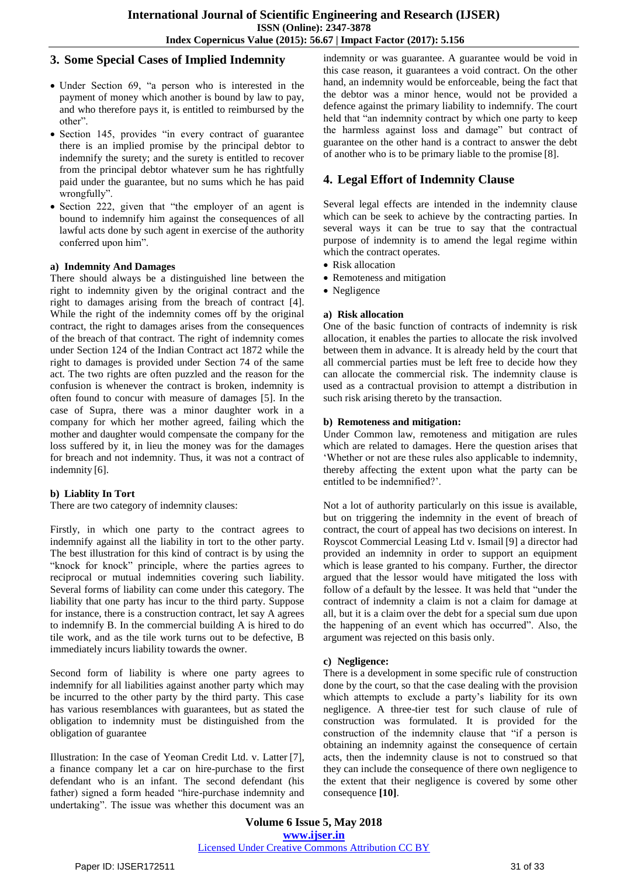## **3. Some Special Cases of Implied Indemnity**

- Under Section 69, "a person who is interested in the payment of money which another is bound by law to pay, and who therefore pays it, is entitled to reimbursed by the other".
- Section 145, provides "in every contract of guarantee there is an implied promise by the principal debtor to indemnify the surety; and the surety is entitled to recover from the principal debtor whatever sum he has rightfully paid under the guarantee, but no sums which he has paid wrongfully".
- Section 222, given that "the employer of an agent is bound to indemnify him against the consequences of all lawful acts done by such agent in exercise of the authority conferred upon him".

#### **a) Indemnity And Damages**

There should always be a distinguished line between the right to indemnity given by the original contract and the right to damages arising from the breach of contract [4]. While the right of the indemnity comes off by the original contract, the right to damages arises from the consequences of the breach of that contract. The right of indemnity comes under Section 124 of the Indian Contract act 1872 while the right to damages is provided under Section 74 of the same act. The two rights are often puzzled and the reason for the confusion is whenever the contract is broken, indemnity is often found to concur with measure of damages [5]. In the case of Supra, there was a minor daughter work in a company for which her mother agreed, failing which the mother and daughter would compensate the company for the loss suffered by it, in lieu the money was for the damages for breach and not indemnity. Thus, it was not a contract of indemnity [6].

## **b) Liablity In Tort**

There are two category of indemnity clauses:

Firstly, in which one party to the contract agrees to indemnify against all the liability in tort to the other party. The best illustration for this kind of contract is by using the "knock for knock" principle, where the parties agrees to reciprocal or mutual indemnities covering such liability. Several forms of liability can come under this category. The liability that one party has incur to the third party. Suppose for instance, there is a construction contract, let say A agrees to indemnify B. In the commercial building A is hired to do tile work, and as the tile work turns out to be defective, B immediately incurs liability towards the owner.

Second form of liability is where one party agrees to indemnify for all liabilities against another party which may be incurred to the other party by the third party. This case has various resemblances with guarantees, but as stated the obligation to indemnity must be distinguished from the obligation of guarantee

Illustration: In the case of Yeoman Credit Ltd. v. Latter [7], a finance company let a car on hire-purchase to the first defendant who is an infant. The second defendant (his father) signed a form headed "hire-purchase indemnity and undertaking". The issue was whether this document was an indemnity or was guarantee. A guarantee would be void in this case reason, it guarantees a void contract. On the other hand, an indemnity would be enforceable, being the fact that the debtor was a minor hence, would not be provided a defence against the primary liability to indemnify. The court held that "an indemnity contract by which one party to keep the harmless against loss and damage" but contract of guarantee on the other hand is a contract to answer the debt of another who is to be primary liable to the promise [8].

# **4. Legal Effort of Indemnity Clause**

Several legal effects are intended in the indemnity clause which can be seek to achieve by the contracting parties. In several ways it can be true to say that the contractual purpose of indemnity is to amend the legal regime within which the contract operates.

- Risk allocation
- Remoteness and mitigation
- Negligence

#### **a) Risk allocation**

One of the basic function of contracts of indemnity is risk allocation, it enables the parties to allocate the risk involved between them in advance. It is already held by the court that all commercial parties must be left free to decide how they can allocate the commercial risk. The indemnity clause is used as a contractual provision to attempt a distribution in such risk arising thereto by the transaction.

#### **b) Remoteness and mitigation:**

Under Common law, remoteness and mitigation are rules which are related to damages. Here the question arises that "Whether or not are these rules also applicable to indemnity, thereby affecting the extent upon what the party can be entitled to be indemnified?".

Not a lot of authority particularly on this issue is available, but on triggering the indemnity in the event of breach of contract, the court of appeal has two decisions on interest. In Royscot Commercial Leasing Ltd v. Ismail [9] a director had provided an indemnity in order to support an equipment which is lease granted to his company. Further, the director argued that the lessor would have mitigated the loss with follow of a default by the lessee. It was held that "under the contract of indemnity a claim is not a claim for damage at all, but it is a claim over the debt for a special sum due upon the happening of an event which has occurred". Also, the argument was rejected on this basis only.

#### **c) Negligence:**

There is a development in some specific rule of construction done by the court, so that the case dealing with the provision which attempts to exclude a party's liability for its own negligence. A three-tier test for such clause of rule of construction was formulated. It is provided for the construction of the indemnity clause that "if a person is obtaining an indemnity against the consequence of certain acts, then the indemnity clause is not to construed so that they can include the consequence of there own negligence to the extent that their negligence is covered by some other consequence **[10]**.

**Volume 6 Issue 5, May 2018 <www.ijser.in>** [Licensed Under Creative Commons Attribution CC BY](http://creativecommons.org/licenses/by/4.0/)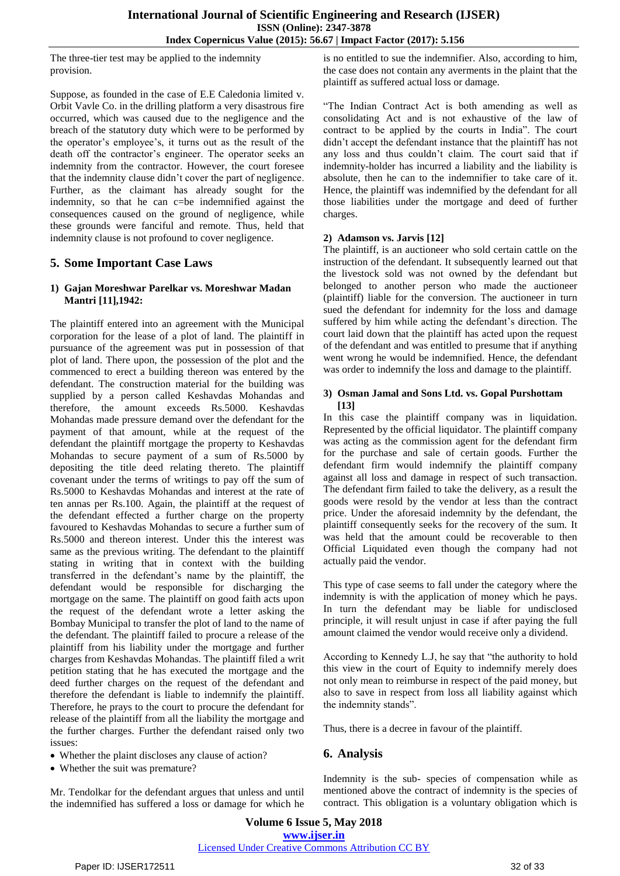The three-tier test may be applied to the indemnity provision.

Suppose, as founded in the case of E.E Caledonia limited v. Orbit Vavle Co. in the drilling platform a very disastrous fire occurred, which was caused due to the negligence and the breach of the statutory duty which were to be performed by the operator's employee's, it turns out as the result of the death off the contractor's engineer. The operator seeks an indemnity from the contractor. However, the court foresee that the indemnity clause didn"t cover the part of negligence. Further, as the claimant has already sought for the indemnity, so that he can c=be indemnified against the consequences caused on the ground of negligence, while these grounds were fanciful and remote. Thus, held that indemnity clause is not profound to cover negligence.

# **5. Some Important Case Laws**

#### **1) Gajan Moreshwar Parelkar vs. Moreshwar Madan Mantri [11],1942:**

The plaintiff entered into an agreement with the Municipal corporation for the lease of a plot of land. The plaintiff in pursuance of the agreement was put in possession of that plot of land. There upon, the possession of the plot and the commenced to erect a building thereon was entered by the defendant. The construction material for the building was supplied by a person called Keshavdas Mohandas and therefore, the amount exceeds Rs.5000. Keshavdas Mohandas made pressure demand over the defendant for the payment of that amount, while at the request of the defendant the plaintiff mortgage the property to Keshavdas Mohandas to secure payment of a sum of Rs.5000 by depositing the title deed relating thereto. The plaintiff covenant under the terms of writings to pay off the sum of Rs.5000 to Keshavdas Mohandas and interest at the rate of ten annas per Rs.100. Again, the plaintiff at the request of the defendant effected a further charge on the property favoured to Keshavdas Mohandas to secure a further sum of Rs.5000 and thereon interest. Under this the interest was same as the previous writing. The defendant to the plaintiff stating in writing that in context with the building transferred in the defendant"s name by the plaintiff, the defendant would be responsible for discharging the mortgage on the same. The plaintiff on good faith acts upon the request of the defendant wrote a letter asking the Bombay Municipal to transfer the plot of land to the name of the defendant. The plaintiff failed to procure a release of the plaintiff from his liability under the mortgage and further charges from Keshavdas Mohandas. The plaintiff filed a writ petition stating that he has executed the mortgage and the deed further charges on the request of the defendant and therefore the defendant is liable to indemnify the plaintiff. Therefore, he prays to the court to procure the defendant for release of the plaintiff from all the liability the mortgage and the further charges. Further the defendant raised only two issues:

- Whether the plaint discloses any clause of action?
- Whether the suit was premature?

Mr. Tendolkar for the defendant argues that unless and until the indemnified has suffered a loss or damage for which he is no entitled to sue the indemnifier. Also, according to him, the case does not contain any averments in the plaint that the plaintiff as suffered actual loss or damage.

"The Indian Contract Act is both amending as well as consolidating Act and is not exhaustive of the law of contract to be applied by the courts in India". The court didn"t accept the defendant instance that the plaintiff has not any loss and thus couldn"t claim. The court said that if indemnity-holder has incurred a liability and the liability is absolute, then he can to the indemnifier to take care of it. Hence, the plaintiff was indemnified by the defendant for all those liabilities under the mortgage and deed of further charges.

## **2) Adamson vs. Jarvis [12]**

The plaintiff, is an auctioneer who sold certain cattle on the instruction of the defendant. It subsequently learned out that the livestock sold was not owned by the defendant but belonged to another person who made the auctioneer (plaintiff) liable for the conversion. The auctioneer in turn sued the defendant for indemnity for the loss and damage suffered by him while acting the defendant's direction. The court laid down that the plaintiff has acted upon the request of the defendant and was entitled to presume that if anything went wrong he would be indemnified. Hence, the defendant was order to indemnify the loss and damage to the plaintiff.

#### **3) Osman Jamal and Sons Ltd. vs. Gopal Purshottam [13]**

In this case the plaintiff company was in liquidation. Represented by the official liquidator. The plaintiff company was acting as the commission agent for the defendant firm for the purchase and sale of certain goods. Further the defendant firm would indemnify the plaintiff company against all loss and damage in respect of such transaction. The defendant firm failed to take the delivery, as a result the goods were resold by the vendor at less than the contract price. Under the aforesaid indemnity by the defendant, the plaintiff consequently seeks for the recovery of the sum. It was held that the amount could be recoverable to then Official Liquidated even though the company had not actually paid the vendor.

This type of case seems to fall under the category where the indemnity is with the application of money which he pays. In turn the defendant may be liable for undisclosed principle, it will result unjust in case if after paying the full amount claimed the vendor would receive only a dividend.

According to Kennedy L.J, he say that "the authority to hold this view in the court of Equity to indemnify merely does not only mean to reimburse in respect of the paid money, but also to save in respect from loss all liability against which the indemnity stands".

Thus, there is a decree in favour of the plaintiff.

# **6. Analysis**

Indemnity is the sub- species of compensation while as mentioned above the contract of indemnity is the species of contract. This obligation is a voluntary obligation which is